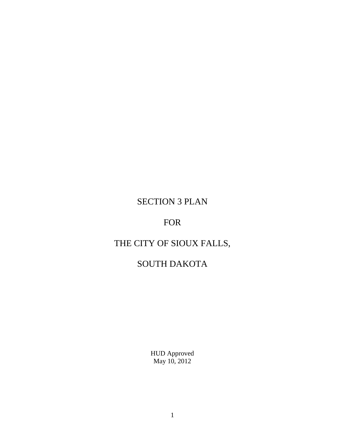# SECTION 3 PLAN

## FOR

# THE CITY OF SIOUX FALLS,

# SOUTH DAKOTA

HUD Approved May 10, 2012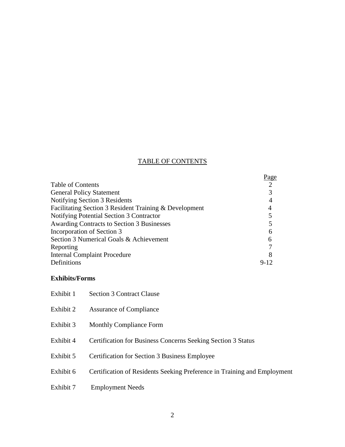## TABLE OF CONTENTS

|                                                        | Page           |
|--------------------------------------------------------|----------------|
| <b>Table of Contents</b>                               | $\overline{2}$ |
| <b>General Policy Statement</b>                        | 3              |
| Notifying Section 3 Residents                          | 4              |
| Facilitating Section 3 Resident Training & Development | 4              |
| Notifying Potential Section 3 Contractor               |                |
| Awarding Contracts to Section 3 Businesses             |                |
| Incorporation of Section 3                             | 6              |
| Section 3 Numerical Goals & Achievement                | 6              |
| Reporting                                              |                |
| <b>Internal Complaint Procedure</b>                    | 8              |
| Definitions                                            | $9 - 12$       |

## **Exhibits/Forms**

| Exhibit 1 | <b>Section 3 Contract Clause</b>                                         |
|-----------|--------------------------------------------------------------------------|
| Exhibit 2 | Assurance of Compliance                                                  |
| Exhibit 3 | <b>Monthly Compliance Form</b>                                           |
| Exhibit 4 | <b>Certification for Business Concerns Seeking Section 3 Status</b>      |
| Exhibit 5 | <b>Certification for Section 3 Business Employee</b>                     |
| Exhibit 6 | Certification of Residents Seeking Preference in Training and Employment |
| Exhibit 7 | <b>Employment Needs</b>                                                  |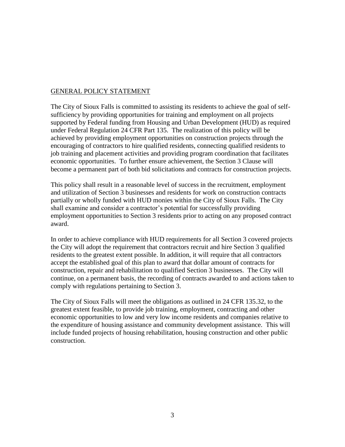#### GENERAL POLICY STATEMENT

The City of Sioux Falls is committed to assisting its residents to achieve the goal of selfsufficiency by providing opportunities for training and employment on all projects supported by Federal funding from Housing and Urban Development (HUD) as required under Federal Regulation 24 CFR Part 135. The realization of this policy will be achieved by providing employment opportunities on construction projects through the encouraging of contractors to hire qualified residents, connecting qualified residents to job training and placement activities and providing program coordination that facilitates economic opportunities. To further ensure achievement, the Section 3 Clause will become a permanent part of both bid solicitations and contracts for construction projects.

This policy shall result in a reasonable level of success in the recruitment, employment and utilization of Section 3 businesses and residents for work on construction contracts partially or wholly funded with HUD monies within the City of Sioux Falls. The City shall examine and consider a contractor's potential for successfully providing employment opportunities to Section 3 residents prior to acting on any proposed contract award.

In order to achieve compliance with HUD requirements for all Section 3 covered projects the City will adopt the requirement that contractors recruit and hire Section 3 qualified residents to the greatest extent possible. In addition, it will require that all contractors accept the established goal of this plan to award that dollar amount of contracts for construction, repair and rehabilitation to qualified Section 3 businesses. The City will continue, on a permanent basis, the recording of contracts awarded to and actions taken to comply with regulations pertaining to Section 3.

The City of Sioux Falls will meet the obligations as outlined in 24 CFR 135.32, to the greatest extent feasible, to provide job training, employment, contracting and other economic opportunities to low and very low income residents and companies relative to the expenditure of housing assistance and community development assistance. This will include funded projects of housing rehabilitation, housing construction and other public construction.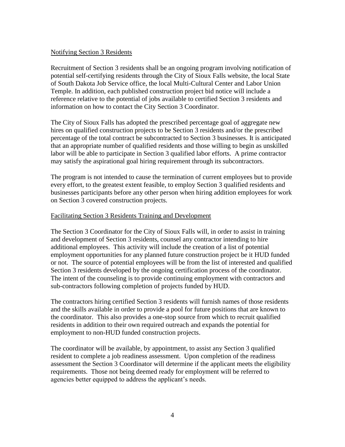#### Notifying Section 3 Residents

Recruitment of Section 3 residents shall be an ongoing program involving notification of potential self-certifying residents through the City of Sioux Falls website, the local State of South Dakota Job Service office, the local Multi-Cultural Center and Labor Union Temple. In addition, each published construction project bid notice will include a reference relative to the potential of jobs available to certified Section 3 residents and information on how to contact the City Section 3 Coordinator.

The City of Sioux Falls has adopted the prescribed percentage goal of aggregate new hires on qualified construction projects to be Section 3 residents and/or the prescribed percentage of the total contract be subcontracted to Section 3 businesses. It is anticipated that an appropriate number of qualified residents and those willing to begin as unskilled labor will be able to participate in Section 3 qualified labor efforts. A prime contractor may satisfy the aspirational goal hiring requirement through its subcontractors.

The program is not intended to cause the termination of current employees but to provide every effort, to the greatest extent feasible, to employ Section 3 qualified residents and businesses participants before any other person when hiring addition employees for work on Section 3 covered construction projects.

### Facilitating Section 3 Residents Training and Development

The Section 3 Coordinator for the City of Sioux Falls will, in order to assist in training and development of Section 3 residents, counsel any contractor intending to hire additional employees. This activity will include the creation of a list of potential employment opportunities for any planned future construction project be it HUD funded or not. The source of potential employees will be from the list of interested and qualified Section 3 residents developed by the ongoing certification process of the coordinator. The intent of the counseling is to provide continuing employment with contractors and sub-contractors following completion of projects funded by HUD.

The contractors hiring certified Section 3 residents will furnish names of those residents and the skills available in order to provide a pool for future positions that are known to the coordinator. This also provides a one-stop source from which to recruit qualified residents in addition to their own required outreach and expands the potential for employment to non-HUD funded construction projects.

The coordinator will be available, by appointment, to assist any Section 3 qualified resident to complete a job readiness assessment. Upon completion of the readiness assessment the Section 3 Coordinator will determine if the applicant meets the eligibility requirements. Those not being deemed ready for employment will be referred to agencies better equipped to address the applicant's needs.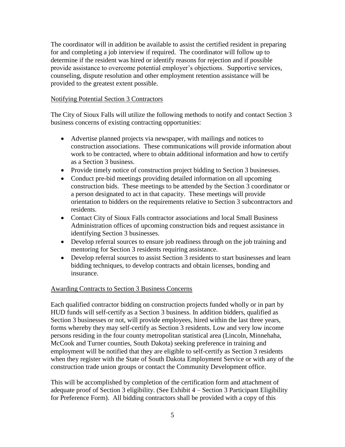The coordinator will in addition be available to assist the certified resident in preparing for and completing a job interview if required. The coordinator will follow up to determine if the resident was hired or identify reasons for rejection and if possible provide assistance to overcome potential employer's objections. Supportive services, counseling, dispute resolution and other employment retention assistance will be provided to the greatest extent possible.

#### Notifying Potential Section 3 Contractors

The City of Sioux Falls will utilize the following methods to notify and contact Section 3 business concerns of existing contracting opportunities:

- Advertise planned projects via newspaper, with mailings and notices to construction associations. These communications will provide information about work to be contracted, where to obtain additional information and how to certify as a Section 3 business.
- Provide timely notice of construction project bidding to Section 3 businesses.
- Conduct pre-bid meetings providing detailed information on all upcoming construction bids. These meetings to be attended by the Section 3 coordinator or a person designated to act in that capacity. These meetings will provide orientation to bidders on the requirements relative to Section 3 subcontractors and residents.
- Contact City of Sioux Falls contractor associations and local Small Business Administration offices of upcoming construction bids and request assistance in identifying Section 3 businesses.
- Develop referral sources to ensure job readiness through on the job training and mentoring for Section 3 residents requiring assistance.
- Develop referral sources to assist Section 3 residents to start businesses and learn bidding techniques, to develop contracts and obtain licenses, bonding and insurance.

#### Awarding Contracts to Section 3 Business Concerns

Each qualified contractor bidding on construction projects funded wholly or in part by HUD funds will self-certify as a Section 3 business. In addition bidders, qualified as Section 3 businesses or not, will provide employees, hired within the last three years, forms whereby they may self-certify as Section 3 residents. Low and very low income persons residing in the four county metropolitan statistical area (Lincoln, Minnehaha, McCook and Turner counties, South Dakota) seeking preference in training and employment will be notified that they are eligible to self-certify as Section 3 residents when they register with the State of South Dakota Employment Service or with any of the construction trade union groups or contact the Community Development office.

This will be accomplished by completion of the certification form and attachment of adequate proof of Section 3 eligibility. (See Exhibit 4 – Section 3 Participant Eligibility for Preference Form). All bidding contractors shall be provided with a copy of this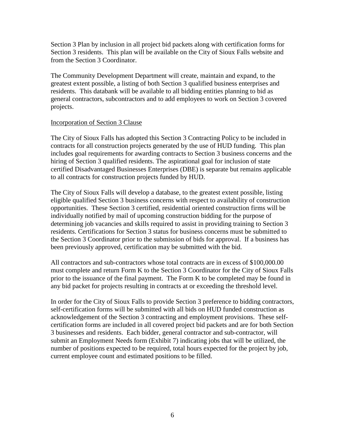Section 3 Plan by inclusion in all project bid packets along with certification forms for Section 3 residents. This plan will be available on the City of Sioux Falls website and from the Section 3 Coordinator.

The Community Development Department will create, maintain and expand, to the greatest extent possible, a listing of both Section 3 qualified business enterprises and residents. This databank will be available to all bidding entities planning to bid as general contractors, subcontractors and to add employees to work on Section 3 covered projects.

#### Incorporation of Section 3 Clause

The City of Sioux Falls has adopted this Section 3 Contracting Policy to be included in contracts for all construction projects generated by the use of HUD funding. This plan includes goal requirements for awarding contracts to Section 3 business concerns and the hiring of Section 3 qualified residents. The aspirational goal for inclusion of state certified Disadvantaged Businesses Enterprises (DBE) is separate but remains applicable to all contracts for construction projects funded by HUD.

The City of Sioux Falls will develop a database, to the greatest extent possible, listing eligible qualified Section 3 business concerns with respect to availability of construction opportunities. These Section 3 certified, residential oriented construction firms will be individually notified by mail of upcoming construction bidding for the purpose of determining job vacancies and skills required to assist in providing training to Section 3 residents. Certifications for Section 3 status for business concerns must be submitted to the Section 3 Coordinator prior to the submission of bids for approval. If a business has been previously approved, certification may be submitted with the bid.

All contractors and sub-contractors whose total contracts are in excess of \$100,000.00 must complete and return Form K to the Section 3 Coordinator for the City of Sioux Falls prior to the issuance of the final payment. The Form K to be completed may be found in any bid packet for projects resulting in contracts at or exceeding the threshold level.

In order for the City of Sioux Falls to provide Section 3 preference to bidding contractors, self-certification forms will be submitted with all bids on HUD funded construction as acknowledgement of the Section 3 contracting and employment provisions. These selfcertification forms are included in all covered project bid packets and are for both Section 3 businesses and residents. Each bidder, general contractor and sub-contractor, will submit an Employment Needs form (Exhibit 7) indicating jobs that will be utilized, the number of positions expected to be required, total hours expected for the project by job, current employee count and estimated positions to be filled.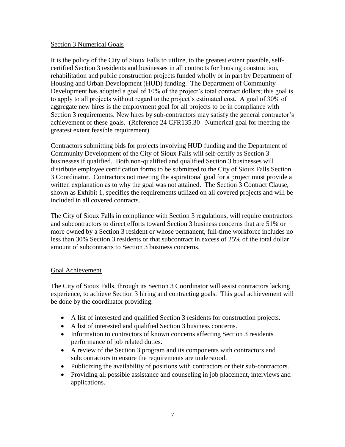#### Section 3 Numerical Goals

It is the policy of the City of Sioux Falls to utilize, to the greatest extent possible, selfcertified Section 3 residents and businesses in all contracts for housing construction, rehabilitation and public construction projects funded wholly or in part by Department of Housing and Urban Development (HUD) funding. The Department of Community Development has adopted a goal of 10% of the project's total contract dollars; this goal is to apply to all projects without regard to the project's estimated cost. A goal of 30% of aggregate new hires is the employment goal for all projects to be in compliance with Section 3 requirements. New hires by sub-contractors may satisfy the general contractor's achievement of these goals. (Reference 24 CFR135.30 –Numerical goal for meeting the greatest extent feasible requirement).

Contractors submitting bids for projects involving HUD funding and the Department of Community Development of the City of Sioux Falls will self-certify as Section 3 businesses if qualified. Both non-qualified and qualified Section 3 businesses will distribute employee certification forms to be submitted to the City of Sioux Falls Section 3 Coordinator. Contractors not meeting the aspirational goal for a project must provide a written explanation as to why the goal was not attained. The Section 3 Contract Clause, shown as Exhibit 1, specifies the requirements utilized on all covered projects and will be included in all covered contracts.

The City of Sioux Falls in compliance with Section 3 regulations, will require contractors and subcontractors to direct efforts toward Section 3 business concerns that are 51% or more owned by a Section 3 resident or whose permanent, full-time workforce includes no less than 30% Section 3 residents or that subcontract in excess of 25% of the total dollar amount of subcontracts to Section 3 business concerns.

#### Goal Achievement

The City of Sioux Falls, through its Section 3 Coordinator will assist contractors lacking experience, to achieve Section 3 hiring and contracting goals. This goal achievement will be done by the coordinator providing:

- A list of interested and qualified Section 3 residents for construction projects.
- A list of interested and qualified Section 3 business concerns.
- Information to contractors of known concerns affecting Section 3 residents performance of job related duties.
- A review of the Section 3 program and its components with contractors and subcontractors to ensure the requirements are understood.
- Publicizing the availability of positions with contractors or their sub-contractors.
- Providing all possible assistance and counseling in job placement, interviews and applications.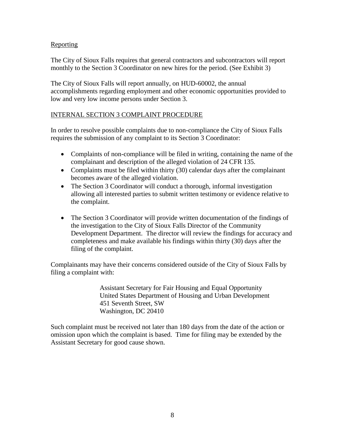### Reporting

The City of Sioux Falls requires that general contractors and subcontractors will report monthly to the Section 3 Coordinator on new hires for the period. (See Exhibit 3)

The City of Sioux Falls will report annually, on HUD-60002, the annual accomplishments regarding employment and other economic opportunities provided to low and very low income persons under Section 3.

### INTERNAL SECTION 3 COMPLAINT PROCEDURE

In order to resolve possible complaints due to non-compliance the City of Sioux Falls requires the submission of any complaint to its Section 3 Coordinator:

- Complaints of non-compliance will be filed in writing, containing the name of the complainant and description of the alleged violation of 24 CFR 135.
- Complaints must be filed within thirty (30) calendar days after the complainant becomes aware of the alleged violation.
- The Section 3 Coordinator will conduct a thorough, informal investigation allowing all interested parties to submit written testimony or evidence relative to the complaint.
- The Section 3 Coordinator will provide written documentation of the findings of the investigation to the City of Sioux Falls Director of the Community Development Department. The director will review the findings for accuracy and completeness and make available his findings within thirty (30) days after the filing of the complaint.

Complainants may have their concerns considered outside of the City of Sioux Falls by filing a complaint with:

> Assistant Secretary for Fair Housing and Equal Opportunity United States Department of Housing and Urban Development 451 Seventh Street, SW Washington, DC 20410

Such complaint must be received not later than 180 days from the date of the action or omission upon which the complaint is based. Time for filing may be extended by the Assistant Secretary for good cause shown.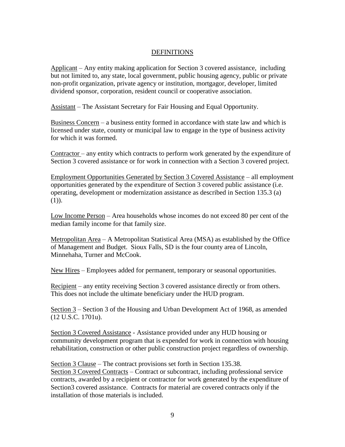#### DEFINITIONS

Applicant – Any entity making application for Section 3 covered assistance, including but not limited to, any state, local government, public housing agency, public or private non-profit organization, private agency or institution, mortgagor, developer, limited dividend sponsor, corporation, resident council or cooperative association.

Assistant – The Assistant Secretary for Fair Housing and Equal Opportunity.

Business Concern – a business entity formed in accordance with state law and which is licensed under state, county or municipal law to engage in the type of business activity for which it was formed.

Contractor – any entity which contracts to perform work generated by the expenditure of Section 3 covered assistance or for work in connection with a Section 3 covered project.

Employment Opportunities Generated by Section 3 Covered Assistance – all employment opportunities generated by the expenditure of Section 3 covered public assistance (i.e. operating, development or modernization assistance as described in Section 135.3 (a)  $(1)$ ).

Low Income Person – Area households whose incomes do not exceed 80 per cent of the median family income for that family size.

Metropolitan Area – A Metropolitan Statistical Area (MSA) as established by the Office of Management and Budget. Sioux Falls, SD is the four county area of Lincoln, Minnehaha, Turner and McCook.

New Hires – Employees added for permanent, temporary or seasonal opportunities.

Recipient – any entity receiving Section 3 covered assistance directly or from others. This does not include the ultimate beneficiary under the HUD program.

Section 3 – Section 3 of the Housing and Urban Development Act of 1968, as amended (12 U.S.C. 1701u).

Section 3 Covered Assistance - Assistance provided under any HUD housing or community development program that is expended for work in connection with housing rehabilitation, construction or other public construction project regardless of ownership.

Section 3 Clause – The contract provisions set forth in Section 135.38. Section 3 Covered Contracts – Contract or subcontract, including professional service contracts, awarded by a recipient or contractor for work generated by the expenditure of Section3 covered assistance. Contracts for material are covered contracts only if the installation of those materials is included.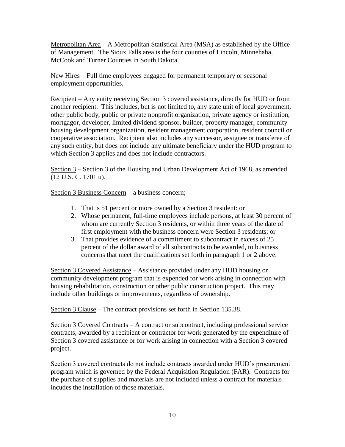Metropolitan Area – A Metropolitan Statistical Area (MSA) as established by the Office of Management. The Sioux Falls area is the four counties of Lincoln, Minnehaha, McCook and Turner Counties in South Dakota.

New Hires – Full time employees engaged for permanent temporary or seasonal employment opportunities.

Recipient – Any entity receiving Section 3 covered assistance, directly for HUD or from another recipient. This includes, but is not limited to, any state unit of local government, other public body, public or private nonprofit organization, private agency or institution, mortgagor, developer, limited dividend sponsor, builder, property manager, community housing development organization, resident management corporation, resident council or cooperative association. Recipient also includes any successor, assignee or transferee of any such entity, but does not include any ultimate beneficiary under the HUD program to which Section 3 applies and does not include contractors.

Section 3 – Section 3 of the Housing and Urban Development Act of 1968, as amended (12 U.S. C. 1701 u).

Section 3 Business Concern – a business concern;

- 1. That is 51 percent or more owned by a Section 3 resident: or
- 2. Whose permanent, full-time employees include persons, at least 30 percent of whom are currently Section 3 residents, or within three years of the date of first employment with the business concern were Section 3 residents; or
- 3. That provides evidence of a commitment to subcontract in excess of 25 percent of the dollar award of all subcontracts to be awarded, to business concerns that meet the qualifications set forth in paragraph 1 or 2 above.

Section 3 Covered Assistance – Assistance provided under any HUD housing or community development program that is expended for work arising in connection with housing rehabilitation, construction or other public construction project. This may include other buildings or improvements, regardless of ownership.

Section 3 Clause – The contract provisions set forth in Section 135.38.

Section 3 Covered Contracts – A contract or subcontract, including professional service contracts, awarded by a recipient or contractor for work generated by the expenditure of Section 3 covered assistance or for work arising in connection with a Section 3 covered project.

Section 3 covered contracts do not include contracts awarded under HUD's procurement program which is governed by the Federal Acquisition Regulation (FAR). Contracts for the purchase of supplies and materials are not included unless a contract for materials incudes the installation of those materials.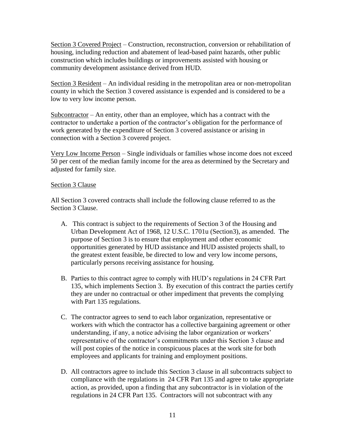Section 3 Covered Project – Construction, reconstruction, conversion or rehabilitation of housing, including reduction and abatement of lead-based paint hazards, other public construction which includes buildings or improvements assisted with housing or community development assistance derived from HUD.

Section 3 Resident – An individual residing in the metropolitan area or non-metropolitan county in which the Section 3 covered assistance is expended and is considered to be a low to very low income person.

Subcontractor – An entity, other than an employee, which has a contract with the contractor to undertake a portion of the contractor's obligation for the performance of work generated by the expenditure of Section 3 covered assistance or arising in connection with a Section 3 covered project.

Very Low Income Person – Single individuals or families whose income does not exceed 50 per cent of the median family income for the area as determined by the Secretary and adjusted for family size.

#### Section 3 Clause

All Section 3 covered contracts shall include the following clause referred to as the Section 3 Clause.

- A. This contract is subject to the requirements of Section 3 of the Housing and Urban Development Act of 1968, 12 U.S.C. 1701u (Section3), as amended. The purpose of Section 3 is to ensure that employment and other economic opportunities generated by HUD assistance and HUD assisted projects shall, to the greatest extent feasible, be directed to low and very low income persons, particularly persons receiving assistance for housing.
- B. Parties to this contract agree to comply with HUD's regulations in 24 CFR Part 135, which implements Section 3. By execution of this contract the parties certify they are under no contractual or other impediment that prevents the complying with Part 135 regulations.
- C. The contractor agrees to send to each labor organization, representative or workers with which the contractor has a collective bargaining agreement or other understanding, if any, a notice advising the labor organization or workers' representative of the contractor's commitments under this Section 3 clause and will post copies of the notice in conspicuous places at the work site for both employees and applicants for training and employment positions.
- D. All contractors agree to include this Section 3 clause in all subcontracts subject to compliance with the regulations in 24 CFR Part 135 and agree to take appropriate action, as provided, upon a finding that any subcontractor is in violation of the regulations in 24 CFR Part 135. Contractors will not subcontract with any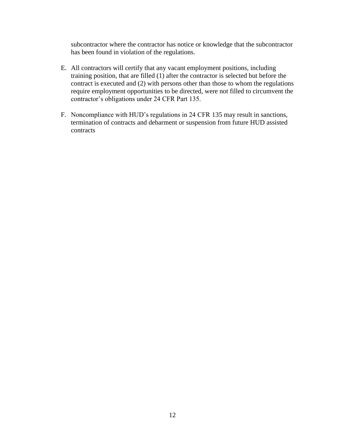subcontractor where the contractor has notice or knowledge that the subcontractor has been found in violation of the regulations.

- E. All contractors will certify that any vacant employment positions, including training position, that are filled (1) after the contractor is selected but before the contract is executed and (2) with persons other than those to whom the regulations require employment opportunities to be directed, were not filled to circumvent the contractor's obligations under 24 CFR Part 135.
- F. Noncompliance with HUD's regulations in 24 CFR 135 may result in sanctions, termination of contracts and debarment or suspension from future HUD assisted contracts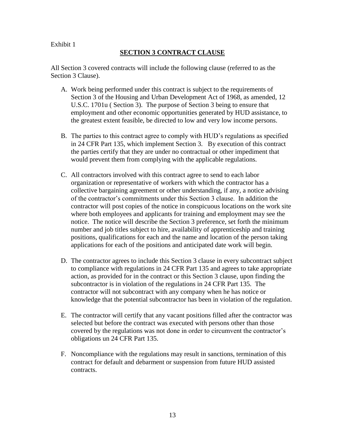### **SECTION 3 CONTRACT CLAUSE**

All Section 3 covered contracts will include the following clause (referred to as the Section 3 Clause).

- A. Work being performed under this contract is subject to the requirements of Section 3 of the Housing and Urban Development Act of 1968, as amended, 12 U.S.C. 1701u ( Section 3). The purpose of Section 3 being to ensure that employment and other economic opportunities generated by HUD assistance, to the greatest extent feasible, be directed to low and very low income persons.
- B. The parties to this contract agree to comply with HUD's regulations as specified in 24 CFR Part 135, which implement Section 3. By execution of this contract the parties certify that they are under no contractual or other impediment that would prevent them from complying with the applicable regulations.
- C. All contractors involved with this contract agree to send to each labor organization or representative of workers with which the contractor has a collective bargaining agreement or other understanding, if any, a notice advising of the contractor's commitments under this Section 3 clause. In addition the contractor will post copies of the notice in conspicuous locations on the work site where both employees and applicants for training and employment may see the notice. The notice will describe the Section 3 preference, set forth the minimum number and job titles subject to hire, availability of apprenticeship and training positions, qualifications for each and the name and location of the person taking applications for each of the positions and anticipated date work will begin.
- D. The contractor agrees to include this Section 3 clause in every subcontract subject to compliance with regulations in 24 CFR Part 135 and agrees to take appropriate action, as provided for in the contract or this Section 3 clause, upon finding the subcontractor is in violation of the regulations in 24 CFR Part 135. The contractor will not subcontract with any company when he has notice or knowledge that the potential subcontractor has been in violation of the regulation.
- E. The contractor will certify that any vacant positions filled after the contractor was selected but before the contract was executed with persons other than those covered by the regulations was not done in order to circumvent the contractor's obligations un 24 CFR Part 135.
- F. Noncompliance with the regulations may result in sanctions, termination of this contract for default and debarment or suspension from future HUD assisted contracts.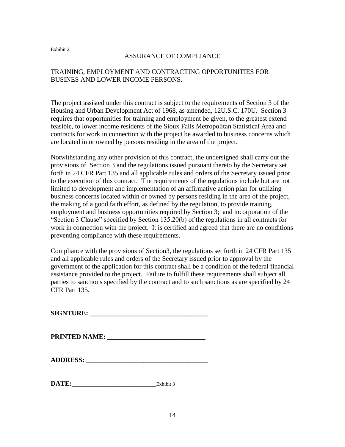#### ASSURANCE OF COMPLIANCE

## TRAINING, EMPLOYMENT AND CONTRACTING OPPORTUNITIES FOR BUSINES AND LOWER INCOME PERSONS.

The project assisted under this contract is subject to the requirements of Section 3 of the Housing and Urban Development Act of 1968, as amended, 12U.S.C. 170U. Section 3 requires that opportunities for training and employment be given, to the greatest extend feasible, to lower income residents of the Sioux Falls Metropolitan Statistical Area and contracts for work in connection with the project be awarded to business concerns which are located in or owned by persons residing in the area of the project.

Notwithstanding any other provision of this contract, the undersigned shall carry out the provisions of Section 3 and the regulations issued pursuant thereto by the Secretary set forth in 24 CFR Part 135 and all applicable rules and orders of the Secretary issued prior to the execution of this contract. The requirements of the regulations include but are not limited to development and implementation of an affirmative action plan for utilizing business concerns located within or owned by persons residing in the area of the project, the making of a good faith effort, as defined by the regulation, to provide training, employment and business opportunities required by Section 3; and incorporation of the "Section 3 Clause" specified by Section 135.20(b) of the regulations in all contracts for work in connection with the project. It is certified and agreed that there are no conditions preventing compliance with these requirements.

Compliance with the provisions of Section3, the regulations set forth in 24 CFR Part 135 and all applicable rules and orders of the Secretary issued prior to approval by the government of the application for this contract shall be a condition of the federal financial assistance provided to the project. Failure to fulfill these requirements shall subject all parties to sanctions specified by the contract and to such sanctions as are specified by 24 CFR Part 135.

**SIGNTURE: \_\_\_\_\_\_\_\_\_\_\_\_\_\_\_\_\_\_\_\_\_\_\_\_\_\_\_\_\_\_\_\_\_\_\_**

**PRINTED NAME: \_\_\_\_\_\_\_\_\_\_\_\_\_\_\_\_\_\_\_\_\_\_\_\_\_\_\_\_\_**

| DATE: | 17.11.11.14<br>EX N1 D1 L |
|-------|---------------------------|
|       |                           |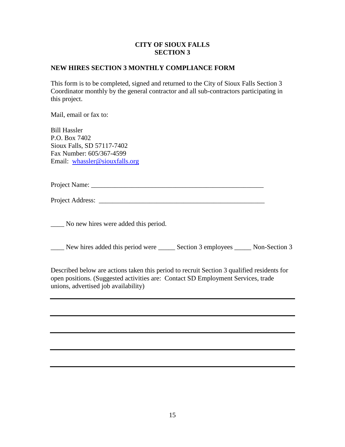## **CITY OF SIOUX FALLS SECTION 3**

### **NEW HIRES SECTION 3 MONTHLY COMPLIANCE FORM**

This form is to be completed, signed and returned to the City of Sioux Falls Section 3 Coordinator monthly by the general contractor and all sub-contractors participating in this project.

Mail, email or fax to:

Bill Hassler P.O. Box 7402 Sioux Falls, SD 57117-7402 Fax Number: 605/367-4599 Email: [whassler@siouxfalls.org](mailto:whassler@siouxfalls.org)

Project Name: \_\_\_\_\_\_\_\_\_\_\_\_\_\_\_\_\_\_\_\_\_\_\_\_\_\_\_\_\_\_\_\_\_\_\_\_\_\_\_\_\_\_\_\_\_\_\_\_\_\_\_

Project Address: \_\_\_\_\_\_\_\_\_\_\_\_\_\_\_\_\_\_\_\_\_\_\_\_\_\_\_\_\_\_\_\_\_\_\_\_\_\_\_\_\_\_\_\_\_\_\_\_\_

\_\_\_\_ No new hires were added this period.

\_\_\_\_ New hires added this period were \_\_\_\_\_ Section 3 employees \_\_\_\_\_ Non-Section 3

Described below are actions taken this period to recruit Section 3 qualified residents for open positions. (Suggested activities are: Contact SD Employment Services, trade unions, advertised job availability)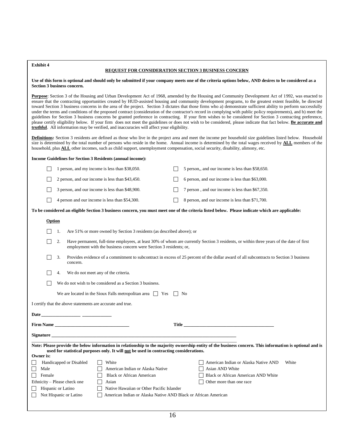#### **REQUEST FOR CONSIDERATION SECTION 3 BUSINESS CONCERN**

**Use of this form is optional and should only be submitted if your company meets one of the criteria options below, AND desires to be considered as a Section 3 business concern.**

**Purpose**: Section 3 of the Housing and Urban Development Act of 1968, amended by the Housing and Community Development Act of 1992, was enacted to ensure that the contracting opportunities created by HUD-assisted housing and community development programs, to the greatest extent feasible, be directed toward Section 3 business concerns in the area of the project. Section 3 dictates that those firms who a) demonstrate sufficient ability to perform successfully under the terms and conditions of the proposed contract (consideration of the contractor's record in complying with public policy requirements), and b) meet the guidelines for Section 3 business concerns be granted preference in contracting. If your firm wishes to be considered for Section 3 contracting preference, please certify eligibility below. If your firm does not meet the guidelines or does not wish to be considered, please indicate that fact below. **Be accurate and truthful**. All information may be verified, and inaccuracies will affect your eligibility.

**Definitions:** Section 3 residents are defined as those who live in the project area and meet the income per household size guidelines listed below. Household size is determined by the total number of persons who reside in the home. Annual income is determined by the total wages received by **ALL** members of the household, plus **ALL** other incomes, such as child support, unemployment compensation, social security, disability, alimony, etc.

|                                                                                                                                                                                                                                                    |    |                         | Income Guidelines for Section 3 Residents (annual income):            |  |                                                                                                                                                |
|----------------------------------------------------------------------------------------------------------------------------------------------------------------------------------------------------------------------------------------------------|----|-------------------------|-----------------------------------------------------------------------|--|------------------------------------------------------------------------------------------------------------------------------------------------|
|                                                                                                                                                                                                                                                    |    |                         | 1 person, and my income is less than \$38,050.                        |  | 5 person,, and our income is less than \$58,650.                                                                                               |
|                                                                                                                                                                                                                                                    |    |                         | 2 person, and our income is less than \$43,450.                       |  | 6 person, and our income is less than \$63,000.                                                                                                |
|                                                                                                                                                                                                                                                    |    |                         | 3 person, and our income is less than \$48,900.                       |  | 7 person, and our income is less than \$67,350.                                                                                                |
|                                                                                                                                                                                                                                                    |    |                         | 4 person and our income is less than \$54,300.                        |  | 8 person, and our income is less than \$71,700.                                                                                                |
|                                                                                                                                                                                                                                                    |    |                         |                                                                       |  | To be considered an eligible Section 3 business concern, you must meet one of the criteria listed below. Please indicate which are applicable: |
| Option                                                                                                                                                                                                                                             |    |                         |                                                                       |  |                                                                                                                                                |
|                                                                                                                                                                                                                                                    | 1. |                         | Are 51% or more owned by Section 3 residents (as described above); or |  |                                                                                                                                                |
|                                                                                                                                                                                                                                                    | 2. |                         | employment with the business concern were Section 3 residents; or,    |  | Have permanent, full-time employees, at least 30% of whom are currently Section 3 residents, or within three years of the date of first        |
|                                                                                                                                                                                                                                                    | 3. | concern.                |                                                                       |  | Provides evidence of a commitment to subcontract in excess of 25 percent of the dollar award of all subcontracts to Section 3 business         |
|                                                                                                                                                                                                                                                    | 4. |                         | We do not meet any of the criteria.                                   |  |                                                                                                                                                |
|                                                                                                                                                                                                                                                    |    |                         | We do not wish to be considered as a Section 3 business.              |  |                                                                                                                                                |
|                                                                                                                                                                                                                                                    |    |                         | We are located in the Sioux Falls metropolitan area $\Box$ Yes        |  | No                                                                                                                                             |
|                                                                                                                                                                                                                                                    |    |                         | I certify that the above statements are accurate and true.            |  |                                                                                                                                                |
|                                                                                                                                                                                                                                                    |    |                         |                                                                       |  |                                                                                                                                                |
|                                                                                                                                                                                                                                                    |    |                         |                                                                       |  | Title <b>Expansion Community Community</b> Title                                                                                               |
|                                                                                                                                                                                                                                                    |    |                         |                                                                       |  |                                                                                                                                                |
| Note: Please provide the below information in relationship to the majority ownership entity of the business concern. This information is optional and is<br>used for statistical purposes only. It will not be used in contracting considerations. |    |                         |                                                                       |  |                                                                                                                                                |
| Owner is:                                                                                                                                                                                                                                          |    |                         |                                                                       |  |                                                                                                                                                |
|                                                                                                                                                                                                                                                    |    | Handicapped or Disabled | White                                                                 |  | American Indian or Alaska Native AND<br>White                                                                                                  |
| American Indian or Alaska Native<br>Asian AND White<br>Male                                                                                                                                                                                        |    |                         |                                                                       |  |                                                                                                                                                |
| Female                                                                                                                                                                                                                                             |    |                         | <b>Black or African American</b>                                      |  | Black or African American AND White                                                                                                            |
| Ethnicity – Please check one                                                                                                                                                                                                                       |    |                         | Asian                                                                 |  | Other more than one race                                                                                                                       |
| Hispanic or Latino                                                                                                                                                                                                                                 |    |                         | Native Hawaiian or Other Pacific Islander                             |  |                                                                                                                                                |

Not Hispanic or Latino <br> **American Indian or Alaska Native AND Black or African American**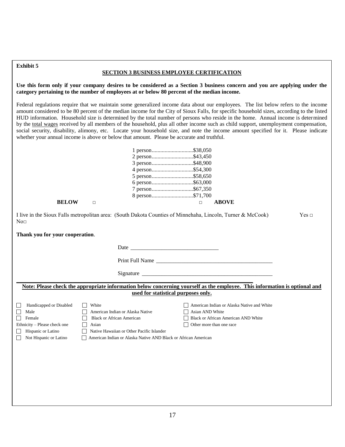#### **SECTION 3 BUSINESS EMPLOYEE CERTIFICATION**

**Use this form only if your company desires to be considered as a Section 3 business concern and you are applying under the category pertaining to the number of employees at or below 80 percent of the median income.**

Federal regulations require that we maintain some generalized income data about our employees. The list below refers to the income amount considered to be 80 percent of the median income for the City of Sioux Falls, for specific household sizes, according to the listed HUD information. Household size is determined by the total number of persons who reside in the home. Annual income is determined by the total wages received by all members of the household, plus all other income such as child support, unemployment compensation, social security, disability, alimony, etc. Locate your household size, and note the income amount specified for it. Please indicate whether your annual income is above or below that amount. Please be accurate and truthful.

|                                                                                                                           | whether your annual income is above or below that amount. Please be accurate and truthful.                                                                                                                 |                                                                                                                                                                    |       |
|---------------------------------------------------------------------------------------------------------------------------|------------------------------------------------------------------------------------------------------------------------------------------------------------------------------------------------------------|--------------------------------------------------------------------------------------------------------------------------------------------------------------------|-------|
| <b>BELOW</b>                                                                                                              | $\Box$                                                                                                                                                                                                     | 1 person\$38,050<br>2 person\$43,450<br>3 person\$48,900<br>4 person\$54,300<br>5 person\$58,650<br>7 person\$67,350<br>8 person\$71,700<br><b>ABOVE</b><br>$\Box$ |       |
| No <sub>□</sub>                                                                                                           |                                                                                                                                                                                                            | I live in the Sioux Falls metropolitan area: (South Dakota Counties of Minnehaha, Lincoln, Turner & McCook)                                                        | Yes ⊡ |
| Thank you for your cooperation.                                                                                           |                                                                                                                                                                                                            |                                                                                                                                                                    |       |
|                                                                                                                           |                                                                                                                                                                                                            |                                                                                                                                                                    |       |
|                                                                                                                           |                                                                                                                                                                                                            |                                                                                                                                                                    |       |
|                                                                                                                           |                                                                                                                                                                                                            |                                                                                                                                                                    |       |
|                                                                                                                           |                                                                                                                                                                                                            | Note: Please check the appropriate information below concerning yourself as the employee. This information is optional and<br>used for statistical purposes only.  |       |
| Handicapped or Disabled<br>Male<br>Female<br>Ethnicity - Please check one<br>Hispanic or Latino<br>Not Hispanic or Latino | White<br>American Indian or Alaska Native<br><b>Black or African American</b><br>Asian<br>П<br>Native Hawaiian or Other Pacific Islander<br>American Indian or Alaska Native AND Black or African American | American Indian or Alaska Native and White<br>Asian AND White<br>Black or African American AND White<br>Other more than one race                                   |       |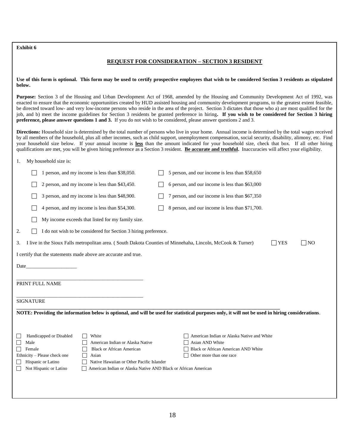#### **REQUEST FOR CONSIDERATION – SECTION 3 RESIDENT**

**Use of this form is optional. This form may be used to certify prospective employees that wish to be considered Section 3 residents as stipulated below.**

**Purpose:** Section 3 of the Housing and Urban Development Act of 1968, amended by the Housing and Community Development Act of 1992, was enacted to ensure that the economic opportunities created by HUD assisted housing and community development programs, to the greatest extent feasible, be directed toward low- and very low-income persons who reside in the area of the project. Section 3 dictates that those who a) are most qualified for the job, and b) meet the income guidelines for Section 3 residents be granted preference in hiring**. If you wish to be considered for Section 3 hiring preference, please answer questions 1 and 3.** If you do not wish to be considered, please answer questions 2 and 3.

**Directions:** Household size is determined by the total number of persons who live in your home. Annual income is determined by the total wages received by all members of the household, plus all other incomes, such as child support, unemployment compensation, social security, disability, alimony, etc. Find your household size below. If your annual income is **less** than the amount indicated for your household size, check that box. If all other hiring qualifications are met, you will be given hiring preference as a Section 3 resident. Be accurate and truthful. Inaccuracies will affect your eligibility.

#### 1. My household size is:

|                                                                 | 1 person, and my income is less than \$38,050.                                           |  | 5 person, and our income is less than \$58,650                                                                                                   |            |           |  |  |  |  |  |
|-----------------------------------------------------------------|------------------------------------------------------------------------------------------|--|--------------------------------------------------------------------------------------------------------------------------------------------------|------------|-----------|--|--|--|--|--|
|                                                                 | 2 person, and my income is less than \$43,450.                                           |  | 6 person, and our income is less than \$63,000                                                                                                   |            |           |  |  |  |  |  |
|                                                                 | 3 person, and my income is less than \$48,900.                                           |  | 7 person, and our income is less than \$67,350                                                                                                   |            |           |  |  |  |  |  |
|                                                                 | 4 person, and my income is less than \$54,300.                                           |  | 8 person, and our income is less than \$71,700.                                                                                                  |            |           |  |  |  |  |  |
|                                                                 | My income exceeds that listed for my family size.                                        |  |                                                                                                                                                  |            |           |  |  |  |  |  |
| 2.                                                              | I do not wish to be considered for Section 3 hiring preference.                          |  |                                                                                                                                                  |            |           |  |  |  |  |  |
| 3.                                                              |                                                                                          |  | I live in the Sioux Falls metropolitan area. (South Dakota Counties of Minnehaha, Lincoln, McCook & Turner)                                      | <b>YES</b> | $\Box$ NO |  |  |  |  |  |
|                                                                 | I certify that the statements made above are accurate and true.                          |  |                                                                                                                                                  |            |           |  |  |  |  |  |
| Date_                                                           |                                                                                          |  |                                                                                                                                                  |            |           |  |  |  |  |  |
| PRINT FULL NAME                                                 |                                                                                          |  |                                                                                                                                                  |            |           |  |  |  |  |  |
|                                                                 |                                                                                          |  |                                                                                                                                                  |            |           |  |  |  |  |  |
| <b>SIGNATURE</b>                                                |                                                                                          |  |                                                                                                                                                  |            |           |  |  |  |  |  |
|                                                                 |                                                                                          |  | NOTE: Providing the information below is optional, and will be used for statistical purposes only, it will not be used in hiring considerations. |            |           |  |  |  |  |  |
|                                                                 |                                                                                          |  |                                                                                                                                                  |            |           |  |  |  |  |  |
| Handicapped or Disabled                                         | White                                                                                    |  | American Indian or Alaska Native and White                                                                                                       |            |           |  |  |  |  |  |
| Male                                                            | American Indian or Alaska Native                                                         |  | Asian AND White                                                                                                                                  |            |           |  |  |  |  |  |
| Female                                                          | <b>Black or African American</b>                                                         |  | Black or African American AND White                                                                                                              |            |           |  |  |  |  |  |
| Ethnicity - Please check one                                    | Asian                                                                                    |  | Other more than one race                                                                                                                         |            |           |  |  |  |  |  |
| Hispanic or Latino<br>Native Hawaiian or Other Pacific Islander |                                                                                          |  |                                                                                                                                                  |            |           |  |  |  |  |  |
|                                                                 | Not Hispanic or Latino<br>American Indian or Alaska Native AND Black or African American |  |                                                                                                                                                  |            |           |  |  |  |  |  |
|                                                                 |                                                                                          |  |                                                                                                                                                  |            |           |  |  |  |  |  |
|                                                                 |                                                                                          |  |                                                                                                                                                  |            |           |  |  |  |  |  |
|                                                                 |                                                                                          |  |                                                                                                                                                  |            |           |  |  |  |  |  |